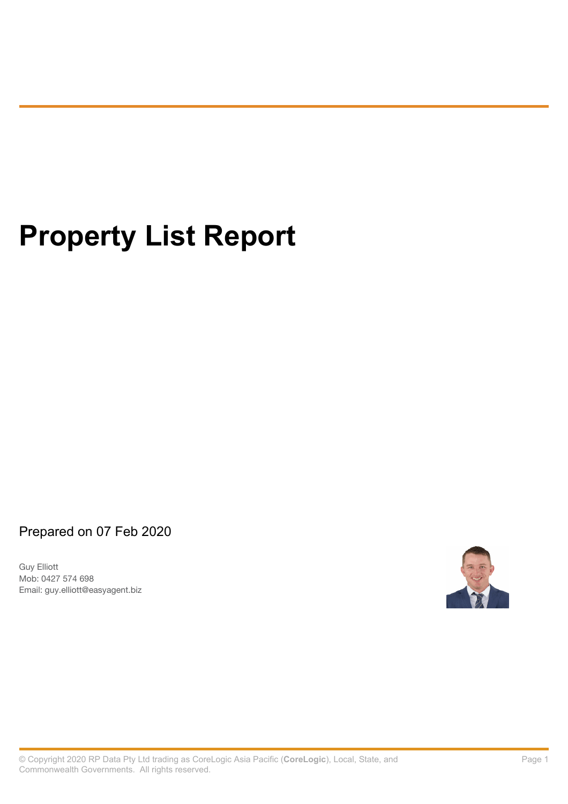# **Property List Report**

Prepared on 07 Feb 2020

Guy Elliott Email: guy.elliott@easyagent.biz Mob: 0427 574 698

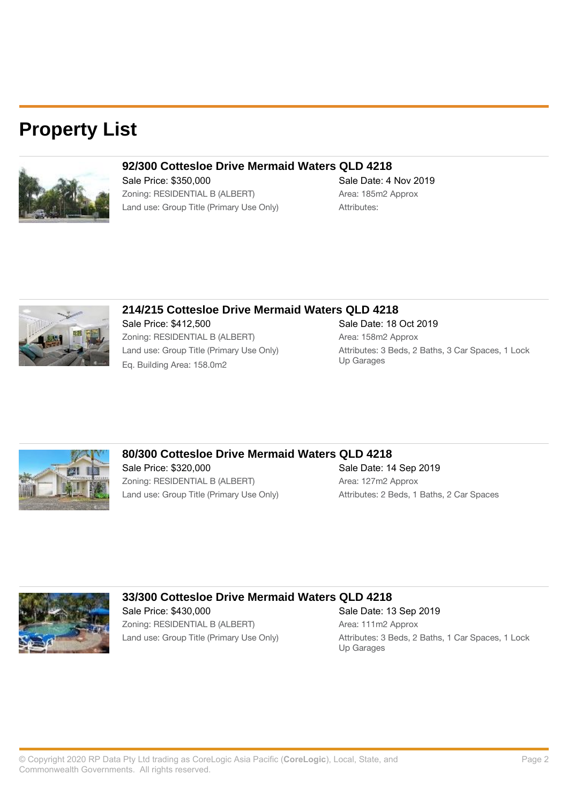### **Property List**



### **92/300 Cottesloe Drive Mermaid Waters QLD 4218**

Sale Price: \$350,000 Sale Date: 4 Nov 2019 Zoning: RESIDENTIAL B (ALBERT) Area: 185m2 Approx Land use: Group Title (Primary Use Only) Attributes:



### **214/215 Cottesloe Drive Mermaid Waters QLD 4218**

Sale Price: \$412,500 Sale Date: 18 Oct 2019 Zoning: RESIDENTIAL B (ALBERT) Area: 158m2 Approx Eq. Building Area: 158.0m2

Land use: Group Title (Primary Use Only)  $\begin{array}{ccc}\n\text{Attributes: } 3 \text{ Beds, } 2 \text{ Baths, } 3 \text{ Car Spaces, } 1 \text{ Lock} \\
\hline\n\text{Eq. Building Area} & \text{One} & \text{One} & \text{Un Garages}\n\end{array}$ 



### **80/300 Cottesloe Drive Mermaid Waters QLD 4218**

Zoning: RESIDENTIAL B (ALBERT) Area: 127m2 Approx

Sale Price: \$320,000 Sale Date: 14 Sep 2019 Land use: Group Title (Primary Use Only) Attributes: 2 Beds, 1 Baths, 2 Car Spaces



### **33/300 Cottesloe Drive Mermaid Waters QLD 4218** Sale Price: \$430,000 Sale Date: 13 Sep 2019 Zoning: RESIDENTIAL B (ALBERT) Area: 111m2 Approx

Land use: Group Title (Primary Use Only) Attributes: 3 Beds, 2 Baths, 1 Car Spaces, 1 Lock Up Garages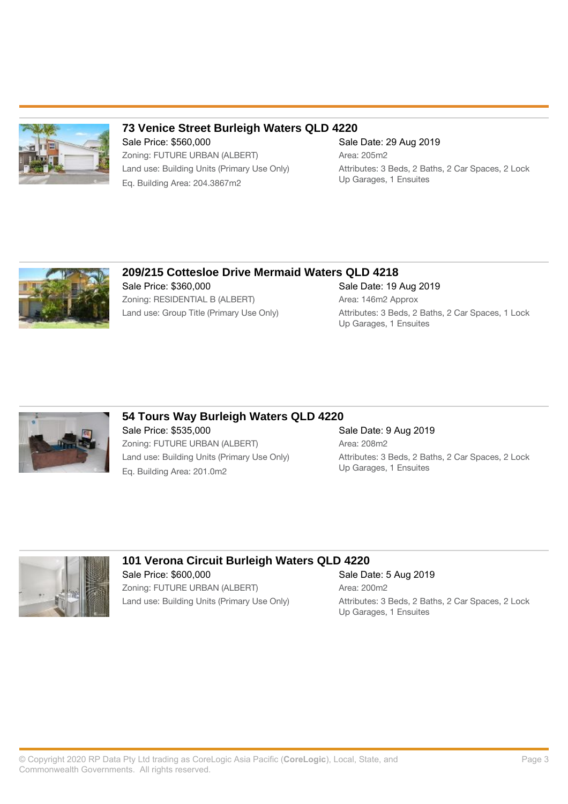

### **73 Venice Street Burleigh Waters QLD 4220**

Sale Price: \$560,000 Sale Date: 29 Aug 2019 Zoning: FUTURE URBAN (ALBERT) Area: 205m2 Up Garages, 1 Ensuites Eq. Building Area: 204.3867m2

Up Garages, 1 Ensuites

Land use: Building Units (Primary Use Only) Attributes: 3 Beds, 2 Baths, 2 Car Spaces, 2 Lock



### **209/215 Cottesloe Drive Mermaid Waters QLD 4218** Sale Price: \$360,000 Sale Date: 19 Aug 2019 Zoning: RESIDENTIAL B (ALBERT) Area: 146m2 Approx Land use: Group Title (Primary Use Only) Attributes: 3 Beds, 2 Baths, 2 Car Spaces, 1 Lock



### **54 Tours Way Burleigh Waters QLD 4220**

Sale Price: \$535,000 Sale Date: 9 Aug 2019 Zoning: FUTURE URBAN (ALBERT) Area: 208m2 Eq. Building Area: 201.0m2

# Land use: Building Units (Primary Use Only) <br>
Land use: Building Area: 201 0m?<br>
Up Garages, 1 Ensuites



### **101 Verona Circuit Burleigh Waters QLD 4220** Sale Price: \$600,000 Sale Date: 5 Aug 2019 Zoning: FUTURE URBAN (ALBERT) Area: 200m2

Land use: Building Units (Primary Use Only) [2004] Attributes: 3 Beds, 2 Baths, 2 Car Spaces, 2 Lock Up Garages, 1 Ensuites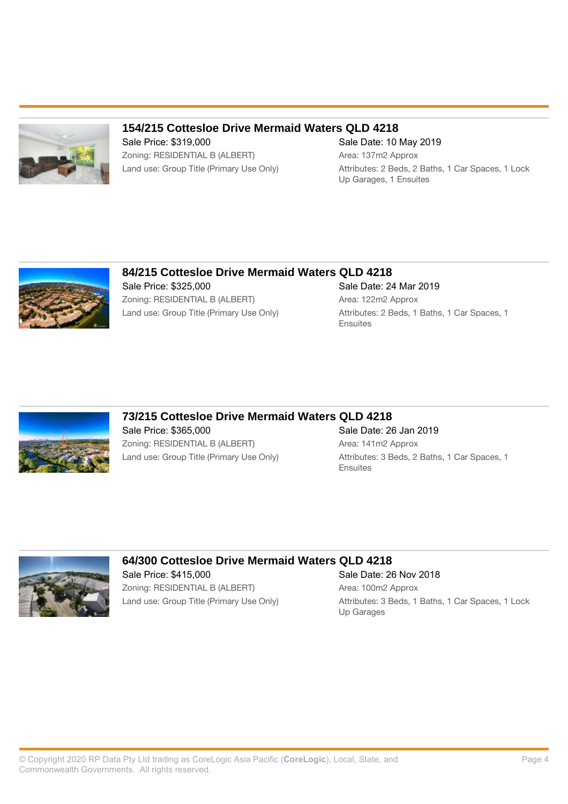

### **154/215 Cottesloe Drive Mermaid Waters QLD 4218**

Sale Price: \$319,000 Sale Date: 10 May 2019 Zoning: RESIDENTIAL B (ALBERT) Area: 137m2 Approx

Land use: Group Title (Primary Use Only) Attributes: 2 Beds, 2 Baths, 1 Car Spaces, 1 Lock Up Garages, 1 Ensuites



### **84/215 Cottesloe Drive Mermaid Waters QLD 4218** Sale Price: \$325,000 Sale Date: 24 Mar 2019

Zoning: RESIDENTIAL B (ALBERT) Area: 122m2 Approx

Land use: Group Title (Primary Use Only) Attributes: 2 Beds, 1 Baths, 1 Car Spaces, 1 **Ensuites** 



### **73/215 Cottesloe Drive Mermaid Waters QLD 4218**

Sale Price: \$365,000 Sale Date: 26 Jan 2019 Zoning: RESIDENTIAL B (ALBERT) Area: 141m2 Approx

## Land use: Group Title (Primary Use Only) Attributes: 3 Beds, 2 Baths, 1 Car Spaces, 1 Ensuites



### **64/300 Cottesloe Drive Mermaid Waters QLD 4218**

Zoning: RESIDENTIAL B (ALBERT) Area: 100m2 Approx

Sale Price: \$415,000 Sale Date: 26 Nov 2018 Land use: Group Title (Primary Use Only) Attributes: 3 Beds, 1 Baths, 1 Car Spaces, 1 Lock Up Garages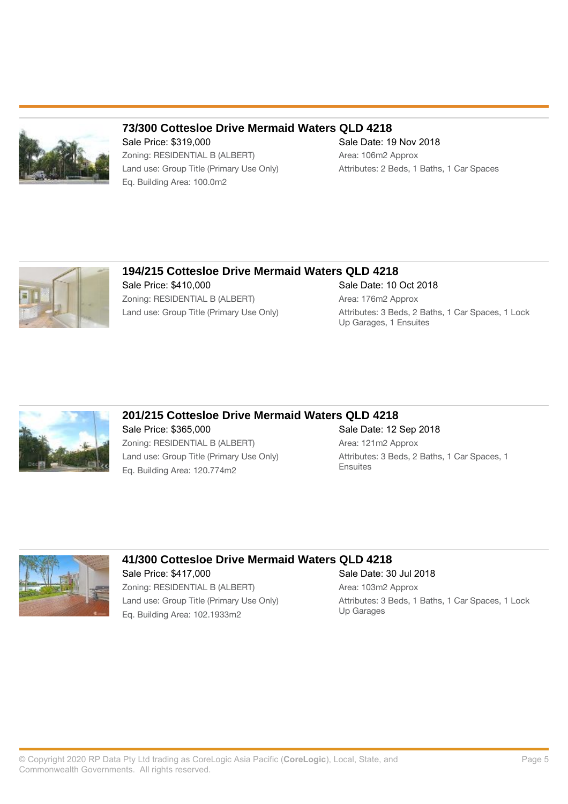

### **73/300 Cottesloe Drive Mermaid Waters QLD 4218**

Sale Price: \$319,000 Sale Date: 19 Nov 2018 Zoning: RESIDENTIAL B (ALBERT) Area: 106m2 Approx Land use: Group Title (Primary Use Only) Attributes: 2 Beds, 1 Baths, 1 Car Spaces Eq. Building Area: 100.0m2



### **194/215 Cottesloe Drive Mermaid Waters QLD 4218** Sale Price: \$410,000 Sale Date: 10 Oct 2018 Zoning: RESIDENTIAL B (ALBERT) Area: 176m2 Approx Land use: Group Title (Primary Use Only) Attributes: 3 Beds, 2 Baths, 1 Car Spaces, 1 Lock

### **201/215 Cottesloe Drive Mermaid Waters QLD 4218**

Sale Price: \$365,000 Sale Date: 12 Sep 2018 Zoning: RESIDENTIAL B (ALBERT) Area: 121m2 Approx Land use: Group Title (Primary Use Only) Attributes: 3 Beds, 2 Baths, 1 Car Spaces, 1<br>
Ensuites<br>
Ensuites Eq. Building Area: 120.774m2

Up Garages, 1 Ensuites



### **41/300 Cottesloe Drive Mermaid Waters QLD 4218**

Sale Price: \$417,000 Sale Date: 30 Jul 2018 Zoning: RESIDENTIAL B (ALBERT) Area: 103m2 Approx Eq. Building Area: 102.1933m2

Land use: Group Title (Primary Use Only) <br>
Land use: Group Title (Primary Use Only) <br>
Up Garages<br>
Up Garages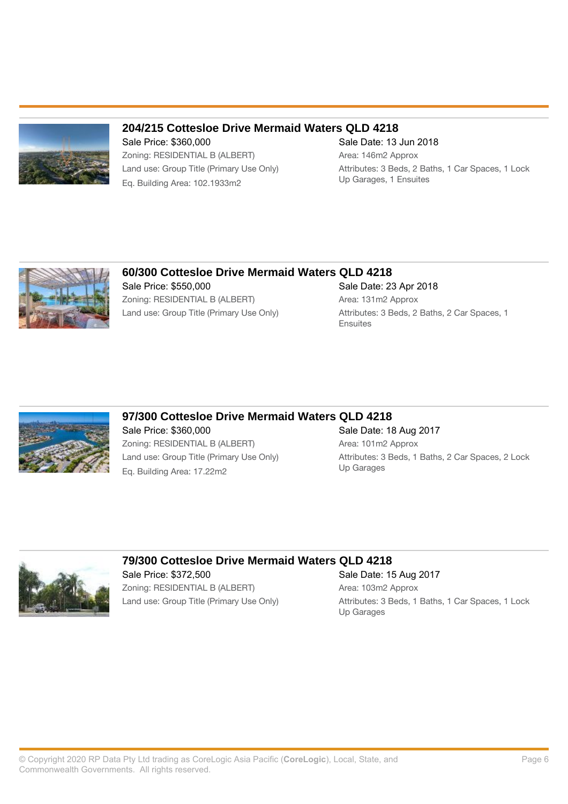

### **204/215 Cottesloe Drive Mermaid Waters QLD 4218**

Sale Price: \$360,000 Sale Date: 13 Jun 2018 Zoning: RESIDENTIAL B (ALBERT) Area: 146m2 Approx Up Garages, 1 Ensuites Eq. Building Area: 102.1933m2

Land use: Group Title (Primary Use Only) Attributes: 3 Beds, 2 Baths, 1 Car Spaces, 1 Lock



### **60/300 Cottesloe Drive Mermaid Waters QLD 4218** Sale Price: \$550,000 Sale Date: 23 Apr 2018 Zoning: RESIDENTIAL B (ALBERT) Area: 131m2 Approx

Land use: Group Title (Primary Use Only) Attributes: 3 Beds, 2 Baths, 2 Car Spaces, 1 **Ensuites** 



### **97/300 Cottesloe Drive Mermaid Waters QLD 4218**

Sale Price: \$360,000 Sale Date: 18 Aug 2017 Zoning: RESIDENTIAL B (ALBERT) Area: 101m2 Approx Eq. Building Area: 17.22m2

# Land use: Group Title (Primary Use Only) <br>
Land use: 3 Beds, 1 Baths, 2 Car Spaces, 2 Lock<br>
Up Garages



### **79/300 Cottesloe Drive Mermaid Waters QLD 4218**

Sale Price: \$372,500 Sale Date: 15 Aug 2017 Zoning: RESIDENTIAL B (ALBERT) Area: 103m2 Approx

Land use: Group Title (Primary Use Only) Attributes: 3 Beds, 1 Baths, 1 Car Spaces, 1 Lock Up Garages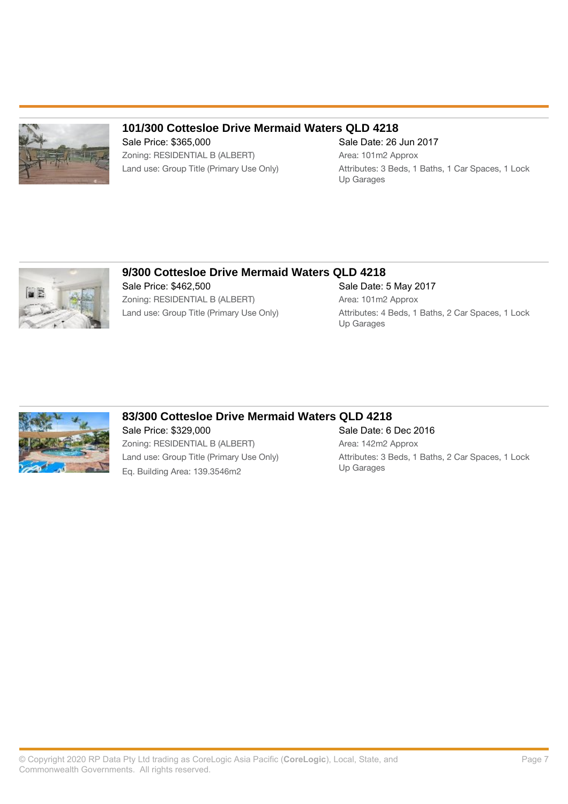

### **101/300 Cottesloe Drive Mermaid Waters QLD 4218**

Sale Price: \$365,000 Sale Date: 26 Jun 2017 Zoning: RESIDENTIAL B (ALBERT) Area: 101m2 Approx

# Land use: Group Title (Primary Use Only) Attributes: 3 Beds, 1 Baths, 1 Car Spaces, 1 Lock

Up Garages



### **9/300 Cottesloe Drive Mermaid Waters QLD 4218** Sale Price: \$462,500 Sale Date: 5 May 2017 Zoning: RESIDENTIAL B (ALBERT) Area: 101m2 Approx

Land use: Group Title (Primary Use Only) Attributes: 4 Beds, 1 Baths, 2 Car Spaces, 1 Lock Up Garages



### **83/300 Cottesloe Drive Mermaid Waters QLD 4218**

Sale Price: \$329,000 Sale Date: 6 Dec 2016 Zoning: RESIDENTIAL B (ALBERT) Area: 142m2 Approx Eq. Building Area: 139.3546m2

Land use: Group Title (Primary Use Only) Attributes: 3 Beds, 1 Baths, 2 Car Spaces, 1 Lock<br>Up Garages